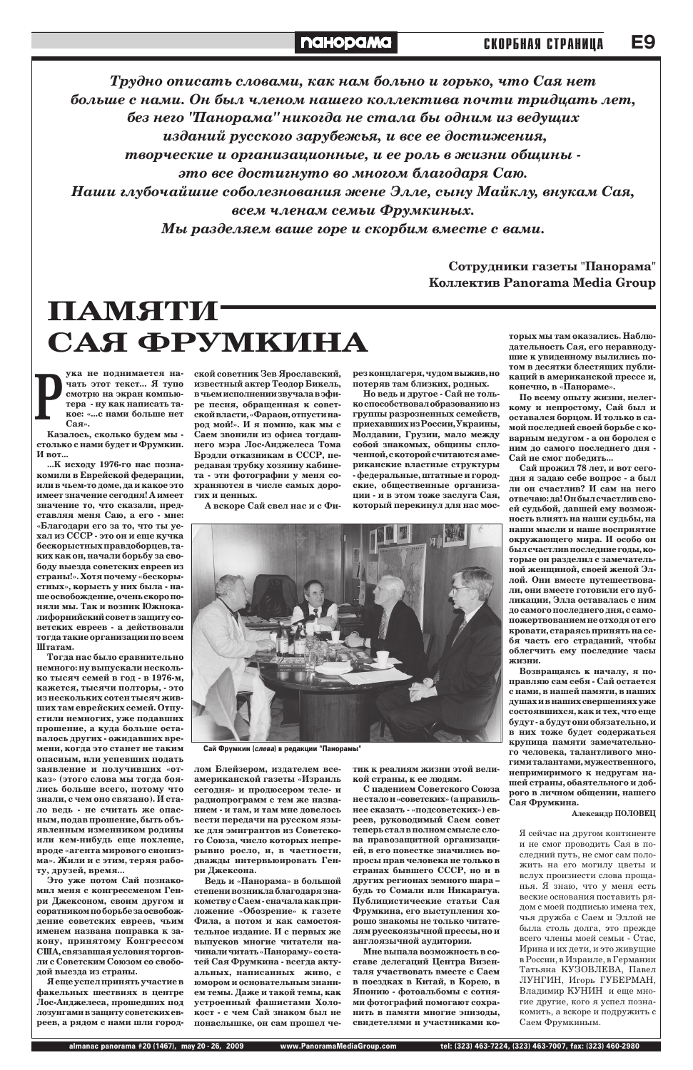ука не поднимается на-**ЧАТЬ ЭТОТ ТЕКСТ... Я ТУПО** смотрю на экран компьютера - ну как написать такое: «...с нами больше нет Cая». **ê**

Казалось, сколько будем мы столько с нами будет и Фрумкин. **И** вот...

...К исходу 1976-го нас познакомили в Еврейской федерации, или в чьем-то доме, да и какое это имеет значение сегодня! А имеет значение то, что сказали, представляя меня Саю, а его - мне: «Благодари его за то, что ты уехал из СССР - это он и еще кучка бескорыстных правдоборцев, таких как он, начали борьбу за свободу выезда советских евреев из страны!». Хотя почему «бескорыстных», корысть у них была - наше освобождение, очень скоро поняли мы. Так и возник Южнокалифорнийский совет в защиту со-**Ветских евреев - а действовали** тогда такие организации по всем Штатам.

Тогда нас было сравнительно немного: ну выпускали несколь-**КО ТЫСЯЧ СЕМЕЙ В ГОД - В 1976-М,** кажется, тысячи полторы, - это ИЗ НЕСКОЛЬКИХ СОТЕН ТЫСЯЧ ЖИВших там еврейских семей. Отпустили немногих, уже подавших прошение, а куда больше оставалось других - ожидавших времени, когда это станет не таким опасным, или успевших подать заявление и получивших «отказ» (этого слова мы тогда боялись больше всего, потому что знали, с чем оно связано). И стало ведь - не считать же опасным, подав прошение, быть объ**явленным изменником родины** или кем-нибудь еще похлеще, вроде «агента мирового сионизма». Жили и с этим, теряя работу, друзей, время... Это уже потом Сай познакомил меня с конгрессменом Генри Джексоном, своим другом и соратником по борьбе за освобождение советских евреев, чьим именем названа поправка к за-**КОНУ, ПРИНЯТОМУ КОНГРЕССОМ** США, связавшая условия торговли с Советским Союзом со свободой выезда из страны.  $\boldsymbol{\mathrm{H}}$  еще успел принять участие в факельных шествиях в центре Лос-Анджелеса, прошедших под лозунгами в защиту советских евреев, а рядом с нами шли город-

ской советник Зев Ярославский, известный актер Теодор Бикель, в чьем исполнении звучала в эфире песня, обращенная к советской власти, «Фараон, отпусти народ мой!». И я помню, как мы с Саем звонили из офиса тогдашнего мэра Лос-Анджелеса Тома Брэдли отказникам в СССР, передавая трубку хозяину кабинета - эти фотографии у меня сохраняются в числе самых дорогих и пенных.

А вскоре Сай свел нас и с Фи-

рез концлагеря, чудом выжив, но потеряв там близких, родных.

Но ведь и другое - Сай не только способствовал образованию из группы разрозненных семейств, приехавших из России, Украины, Молдавии, Грузии, мало между собой знакомых, общины сплоченной, с которой считаются американские властные структуры **- федеральные, штатные и город**ские, общественные организации - и в этом тоже заслуга Сая, который перекинул для нас мос-

Трудно описать словами, как нам больно и горько, что Сая нет больше с нами. Он был членом нашего коллектива почти тридцать лет, без него "Панорама" никогда не стала бы одним из ведущих изданий русского зарубежья, и все ее достижения, творческие и организационные, и ее роль в жизни общины **это все достигнуто во многом благодаря Саю.** Наши глубочайшие соболезнования жене Элле, сыну Майклу, внукам Сая, всем членам семьи Фрумкиных. Мы разделяем ваше горе и скорбим вместе с вами.

> Сотрудники газеты "Панорама" **Коллектив Panorama Media Group**

## **ПАМЯТИ-**САЯ ФРУМКИНА



По всему опыту жизни, нелегкому и непростому, Сай был и оставался борцом. И только в самой последней своей борьбе с ко**варным недугом - а он боролся с НИМ ДО САМОГО ПОСЛЕДНЕГО ДНЯ -**Сай не смог победить...

Сай прожил 78 лет, и вот сегодня я задаю себе вопрос - а был ли он счастлив? И сам на него отвечаю: да! Он был счастлив своей судьбой, давшей ему возможность влиять на наши судьбы, на **наши мысли и наше восприятие** окружающего мира. И особо он был счастлив последние годы, которые он разделил с замечательной женщиной, своей женой Эллой. Они вместе путешествовали, они вместе готовили его публикации, Элла оставалась с ним до самого последнего дня, с самопожертвованием не отходя от его кровати, стараясь принять на себя часть его страданий, чтобы облегчить ему последние часы ЖИЗНИ.

Возвращаясь к началу, я поправляю сам себя - Сай остается с нами, в нашей памяти, в наших душах и в наших свершениях уже состоявшихся, как и тех, что еще будут - а будут они обязательно, и **В НИХ ТОЖЕ будет содержаться** крупица памяти замечательного человека, талантливого многими талантами, мужественного, непримиримого к недругам нашей страны, обаятельного и доброго в личном общении, нашего Сая Фрумкина.



Сай Фрумкин (слева) в редакции "Панорамы"

лом Блейзером, издателем всеамериканской газеты «Израиль сегодня» и продюсером теле- и радиопрограмм с тем же назва-**НИЕМ - И ТАМ, И ТАМ МНЕ ДОВЕЛОСЬ Вести передачи на русском язы**ке для эмигрантов из Советского Союза, число которых непрерывно росло, и, в частности, дважды интервьюировать Генри Джексона. Ведь и «Панорама» в большой степени возникла благодаря знакомству с Саем - сначала как приложение «Обозрение» к газете Фила, а потом и как самостоятельное издание. И с первых же **ВЫПУСКОВ МНОГИЕ ЧИТАТЕЛИ НА**чинали читать «Панораму» со статей Сая Фрумкина - всегда актуальных, написанных живо, с юмором и основательным знанием темы. Даже и такой темы, как устроенный фашистами Холокост - с чем Сай знаком был не понаслышке, он сам прошел четик к реалиям жизни этой великой страны, к ее людям. С падением Советского Союза не стало и «советских» (а правильнее сказать - «подсоветских») евреев, руководимый Саем совет теперь стал в полном смысле слова правозащитной организацией, в его повестке значились вопросы прав человека не только в странах бывшего СССР, но и в других регионах земного шара будь то Сомали или Никарагуа. Публицистические статьи Сая Фрумкина, его выступления хорошо знакомы не только читате-ЛЯМ **русскоязычной прессы**, но и англоязычной аудитории. Мне выпала возможность в составе делегаций Центра Визенталя участвовать вместе с Саем в поездках в Китай, в Корею, в Японию - фотоальбомы с сотнями фотографий помогают сохра-**НИТЬ В ПАМЯТИ МНОГИЕ ЭПИЗОДЫ,** свидетелями и участниками ко-

Александр ПОЛОВЕЦ

Я сейчас на другом континенте и не смог проводить Сая в последний путь, не смог сам положить на его могилу цветы и вслух произнести слова прощанья. Я знаю, что у меня есть веские основания поставить рядом с моей подписью имена тех, чья дружба с Саем и Эллой не была столь долга, это прежде всего члены моей семьи - Стас, Ирина и их дети, и это живущие в России, в Израиле, в Германии Татьяна KУЗОВЛЕВА, Павел ЛУНГИН, Игорь ГУБЕРМАН, Владимир КУНИН и еще многие другие, кого я успел познакомить, а вскоре и подружить с Саем Фрумкиным.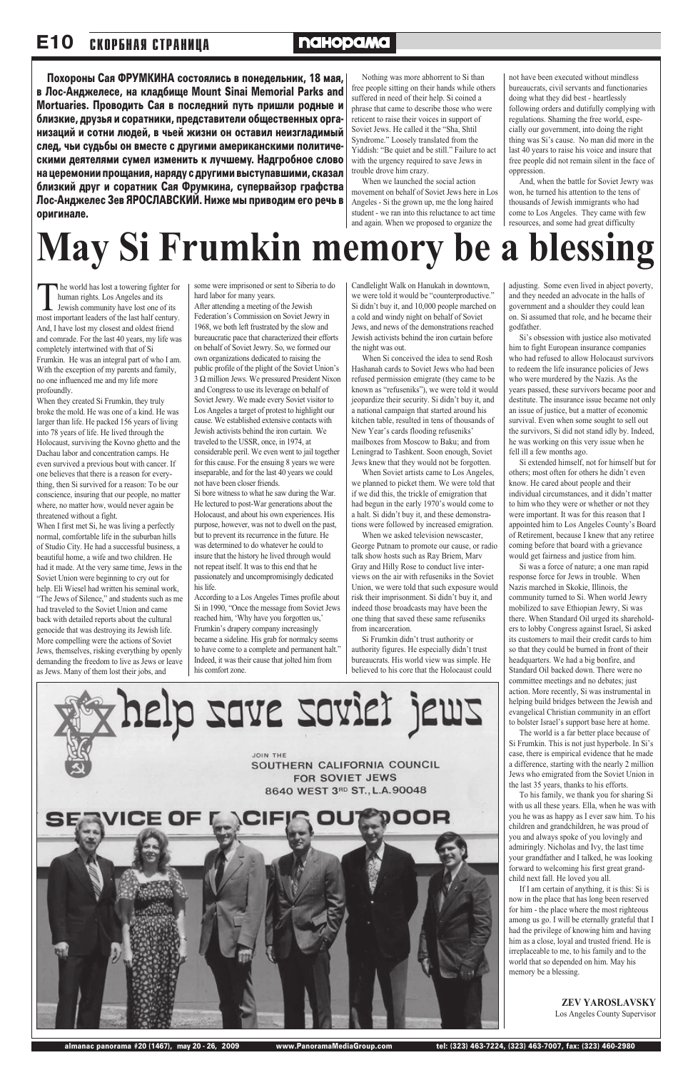The world has lost a towering fighter for human rights. Los Angeles and its Jewish community have lost one of its most important leaders of the last half century. And, I have lost my closest and oldest friend and comrade. For the last 40 years, my life was completely intertwined with that of Si Frumkin. He was an integral part of who I am. With the exception of my parents and family, no one influenced me and my life more profoundly.

When they created Si Frumkin, they truly broke the mold. He was one of a kind. He was larger than life. He packed 156 years of living into 78 years of life. He lived through the Holocaust, surviving the Kovno ghetto and the Dachau labor and concentration camps. He even survived a previous bout with cancer. If one believes that there is a reason for everything, then Si survived for a reason: To be our conscience, insuring that our people, no matter where, no matter how, would never again be threatened without a fight.

When I first met Si, he was living a perfectly normal, comfortable life in the suburban hills of Studio City. He had a successful business, a beautiful home, a wife and two children. He had it made. At the very same time, Jews in the Soviet Union were beginning to cry out for help. Eli Wiesel had written his seminal work, "The Jews of Silence," and students such as me had traveled to the Soviet Union and came back with detailed reports about the cultural genocide that was destroying its Jewish life. More compelling were the actions of Soviet Jews, themselves, risking everything by openly demanding the freedom to live as Jews or leave as Jews. Many of them lost their jobs, and

some were imprisoned or sent to Siberia to do hard labor for many years.

After attending a meeting of the Jewish Federation's Commission on Soviet Jewry in 1968, we both left frustrated by the slow and bureaucratic pace that characterized their efforts on behalf of Soviet Jewry. So, we formed our own organizations dedicated to raising the public profile of the plight of the Soviet Union's 3 Ω million Jews. We pressured President Nixon and Congress to use its leverage on behalf of Soviet Jewry. We made every Soviet visitor to Los Angeles a target of protest to highlight our cause. We established extensive contacts with Jewish activists behind the iron curtain. We traveled to the USSR, once, in 1974, at considerable peril. We even went to jail together for this cause. For the ensuing 8 years we were inseparable, and for the last 40 years we could not have been closer friends.

Si bore witness to what he saw during the War. He lectured to post-War generations about the Holocaust, and about his own experiences. His purpose, however, was not to dwell on the past, but to prevent its recurrence in the future. He was determined to do whatever he could to insure that the history he lived through would not repeat itself. It was to this end that he passionately and uncompromisingly dedicated his life.

According to a Los Angeles Times profile about Si in 1990, "Once the message from Soviet Jews reached him, 'Why have you forgotten us,' Frumkin's drapery company increasingly became a sideline. His grab for normalcy seems to have come to a complete and permanent halt." Indeed, it was their cause that jolted him from his comfort zone.

Nothing was more abhorrent to Si than free people sitting on their hands while others suffered in need of their help. Si coined a phrase that came to describe those who were reticent to raise their voices in support of Soviet Jews. He called it the "Sha, Shtil Syndrome." Loosely translated from the Yiddish: "Be quiet and be still." Failure to act with the urgency required to save Jews in trouble drove him crazy.

When we launched the social action movement on behalf of Soviet Jews here in Los Angeles - Si the grown up, me the long haired student - we ran into this reluctance to act time and again. When we proposed to organize the

Candlelight Walk on Hanukah in downtown, we were told it would be "counterproductive." Si didn't buy it, and 10,000 people marched on a cold and windy night on behalf of Soviet Jews, and news of the demonstrations reached Jewish activists behind the iron curtain before the night was out.

When Si conceived the idea to send Rosh Hashanah cards to Soviet Jews who had been refused permission emigrate (they came to be known as "refuseniks"), we were told it would jeopardize their security. Si didn't buy it, and a national campaign that started around his kitchen table, resulted in tens of thousands of New Year's cards flooding refuseniks' mailboxes from Moscow to Baku; and from

Leningrad to Tashkent. Soon enough, Soviet Jews knew that they would not be forgotten. When Soviet artists came to Los Angeles,

#### **E10 СКОРБНАЯ СТРАНИЦА**

## **naHopaMa**

Похороны Сая ФРУМКИНА состоялись в понедельник, 18 мая, в Лос-Анджелесе, на кладбище Mount Sinai Memorial Parks and Mortuaries. Проводить Сая в последний путь пришли родные и близкие, друзья и соратники, представители общественных организаций и сотни людей, в чьей жизни он оставил неизгладимый след, чьи судьбы он вместе с другими американскими политическими деятелями сумел изменить к лучшему. Надгробное слово на церемонии прощания, наряду с другими выступавшими, сказал близкий друг и соратник Сая Фрумкина, супервайзор графства Лос-Анджелес Зев ЯРОСЛАВСКИЙ. Ниже мы приводим его речь в оригинале.

> we planned to picket them. We were told that if we did this, the trickle of emigration that had begun in the early 1970's would come to a halt. Si didn't buy it, and these demonstrations were followed by increased emigration.

When we asked television newscaster, George Putnam to promote our cause, or radio talk show hosts such as Ray Briem, Marv Gray and Hilly Rose to conduct live interviews on the air with refuseniks in the Soviet Union, we were told that such exposure would risk their imprisonment. Si didn't buy it, and indeed those broadcasts may have been the one thing that saved these same refuseniks from incarceration.

Si Frumkin didn't trust authority or authority figures. He especially didn't trust bureaucrats. His world view was simple. He believed to his core that the Holocaust could



not have been executed without mindless bureaucrats, civil servants and functionaries doing what they did best - heartlessly following orders and dutifully complying with regulations. Shaming the free world, especially our government, into doing the right thing was Si's cause. No man did more in the last 40 years to raise his voice and insure that free people did not remain silent in the face of oppression.

And, when the battle for Soviet Jewry was won, he turned his attention to the tens of thousands of Jewish immigrants who had come to Los Angeles. They came with few resources, and some had great difficulty

adjusting. Some even lived in abject poverty, and they needed an advocate in the halls of government and a shoulder they could lean on. Si assumed that role, and he became their godfather.

Si's obsession with justice also motivated him to fight European insurance companies who had refused to allow Holocaust survivors to redeem the life insurance policies of Jews who were murdered by the Nazis. As the years passed, these survivors became poor and destitute. The insurance issue became not only an issue of justice, but a matter of economic survival. Even when some sought to sell out the survivors, Si did not stand idly by. Indeed, he was working on this very issue when he fell ill a few months ago.

Si extended himself, not for himself but for others; most often for others he didn't even know. He cared about people and their individual circumstances, and it didn't matter to him who they were or whether or not they were important. It was for this reason that I appointed him to Los Angeles County's Board of Retirement, because I knew that any retiree coming before that board with a grievance would get fairness and justice from him.

Si was a force of nature; a one man rapid response force for Jews in trouble. When Nazis marched in Skokie, Illinois, the community turned to Si. When world Jewry mobilized to save Ethiopian Jewry, Si was there. When Standard Oil urged its shareholders to lobby Congress against Israel, Si asked its customers to mail their credit cards to him so that they could be burned in front of their headquarters. We had a big bonfire, and Standard Oil backed down. There were no committee meetings and no debates; just action. More recently, Si was instrumental in helping build bridges between the Jewish and evangelical Christian community in an effort to bolster Israel's support base here at home.

The world is a far better place because of Si Frumkin. This is not just hyperbole. In Si's case, there is empirical evidence that he made a difference, starting with the nearly 2 million Jews who emigrated from the Soviet Union in the last 35 years, thanks to his efforts.

To his family, we thank you for sharing Si with us all these years. Ella, when he was with you he was as happy as I ever saw him. To his children and grandchildren, he was proud of you and always spoke of you lovingly and admiringly. Nicholas and Ivy, the last time your grandfather and I talked, he was looking forward to welcoming his first great grandchild next fall. He loved you all.

If I am certain of anything, it is this: Si is now in the place that has long been reserved for him - the place where the most righteous among us go. I will be eternally grateful that I had the privilege of knowing him and having him as a close, loyal and trusted friend. He is irreplaceable to me, to his family and to the world that so depended on him. May his memory be a blessing.

> **ZEV YAROSLAVSKY** Los Angeles County Supervisor

# **May Si Frumkin memory be a blessing**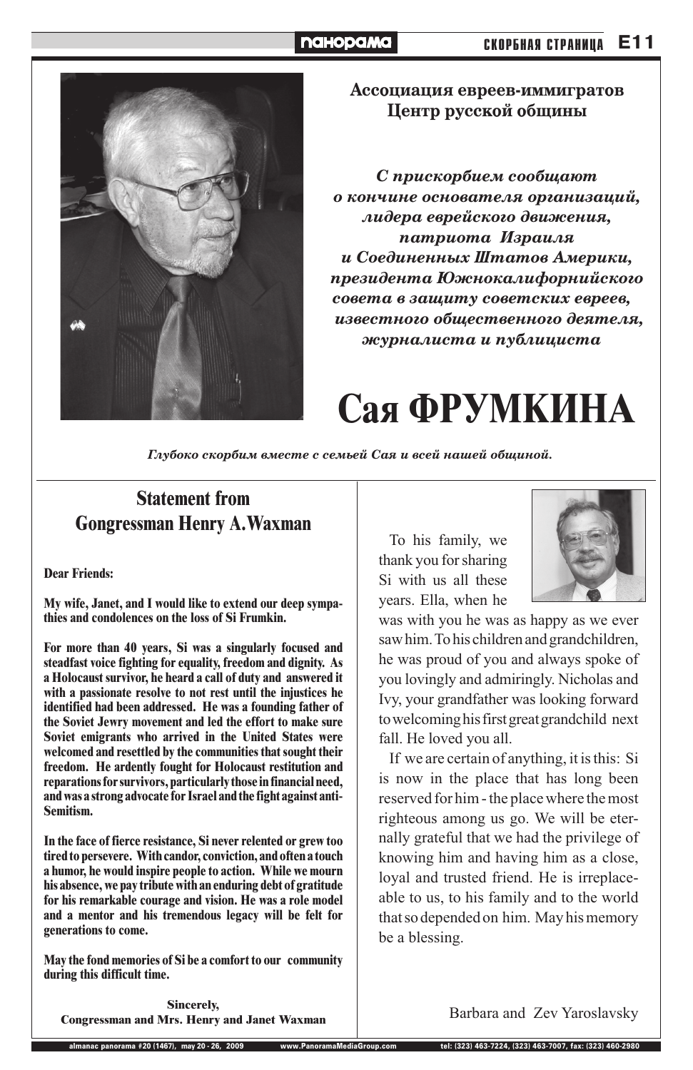## **Statement from Gongressman Henry A.Waxman**

**Dear Friends:**

**My wife, Janet, and I would like to extend our deep sympathies and condolences on the loss of Si Frumkin.**

**For more than 40 years, Si was a singularly focused and steadfast voice fighting for equality, freedom and dignity. As a Holocaust survivor, he heard a call of duty and answered it with a passionate resolve to not rest until the injustices he identified had been addressed. He was a founding father of the Soviet Jewry movement and led the effort to make sure Soviet emigrants who arrived in the United States were welcomed and resettled by the communities that sought their freedom. He ardently fought for Holocaust restitution and reparations for survivors, particularly those in financial need, and was a strong advocate for Israel and the fight against anti-Semitism.**

**In the face of fierce resistance, Si never relented or grew too tired to persevere. With candor, conviction, and often a touch a humor, he would inspire people to action. While we mourn his absence, we pay tribute with an enduring debt of gratitude for his remarkable courage and vision. He was a role model and a mentor and his tremendous legacy will be felt for generations to come.**

#### **E11 СКОРБНАЯ СТРАНИЦА**

## **naHopaMa**



Ассоциация евреев-иммигратов Центр русской общины

 $C$  прискорбием сообщают  $O$  **КОНЧИНЕ ОСНОВАТЕЛЯ ОРГАНИЗАЦИЙ,** лидера еврейского движения, nampuoma Израиля **и Соединенных Штатов Америки,** президента Южнокалифорнийского совета в защиту советских евреев, известного общественного деятеля, **Журналиста и публициста** 

# Сая ФРУМКИНА

Глубоко скорбим вместе с семьей Сая и всей нашей общиной.

**May the fond memories of Si be a comfort to our community during this difficult time.**

**Sincerely, Congressman and Mrs. Henry and Janet Waxman**

To his family, we thank you for sharing Si with us all these years. Ella, when he



was with you he was as happy as we ever saw him. To his children and grandchildren, he was proud of you and always spoke of you lovingly and admiringly. Nicholas and Ivy, your grandfather was looking forward to welcoming his first great grandchild next fall. He loved you all.

If we are certain of anything, it is this: Si is now in the place that has long been

reserved for him - the place where the most righteous among us go. We will be eternally grateful that we had the privilege of knowing him and having him as a close, loyal and trusted friend. He is irreplaceable to us, to his family and to the world that so depended on him. May his memory be a blessing.

Barbara and Zev Yaroslavsky